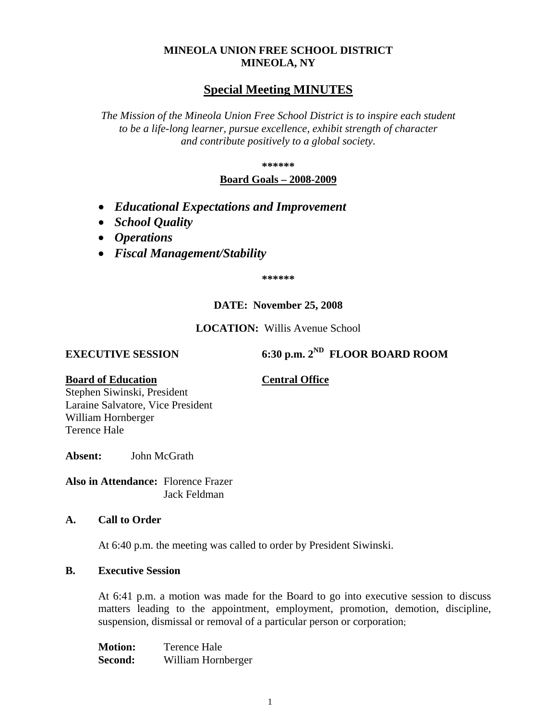## **MINEOLA UNION FREE SCHOOL DISTRICT MINEOLA, NY**

# **Special Meeting MINUTES**

*The Mission of the Mineola Union Free School District is to inspire each student to be a life-long learner, pursue excellence, exhibit strength of character and contribute positively to a global society.*

**\*\*\*\*\*\***

## **Board Goals – 2008-2009**

- *Educational Expectations and Improvement*
- *School Quality*
- *Operations*
- *Fiscal Management/Stability*

**\*\*\*\*\*\***

### **DATE: November 25, 2008**

### **LOCATION:** Willis Avenue School

**EXECUTIVE SESSION 6:30 p.m. 2<sup>ND</sup> <b>FLOOR BOARD ROOM** 

### **Board of Education Central Office**

Stephen Siwinski, President Laraine Salvatore, Vice President William Hornberger Terence Hale

**Absent:** John McGrath

**Also in Attendance:** Florence Frazer Jack Feldman

### **A. Call to Order**

At 6:40 p.m. the meeting was called to order by President Siwinski.

## **B. Executive Session**

At 6:41 p.m. a motion was made for the Board to go into executive session to discuss matters leading to the appointment, employment, promotion, demotion, discipline, suspension, dismissal or removal of a particular person or corporation;

**Motion:** Terence Hale **Second:** William Hornberger